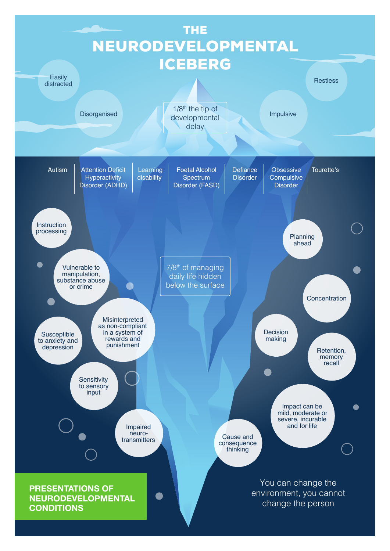